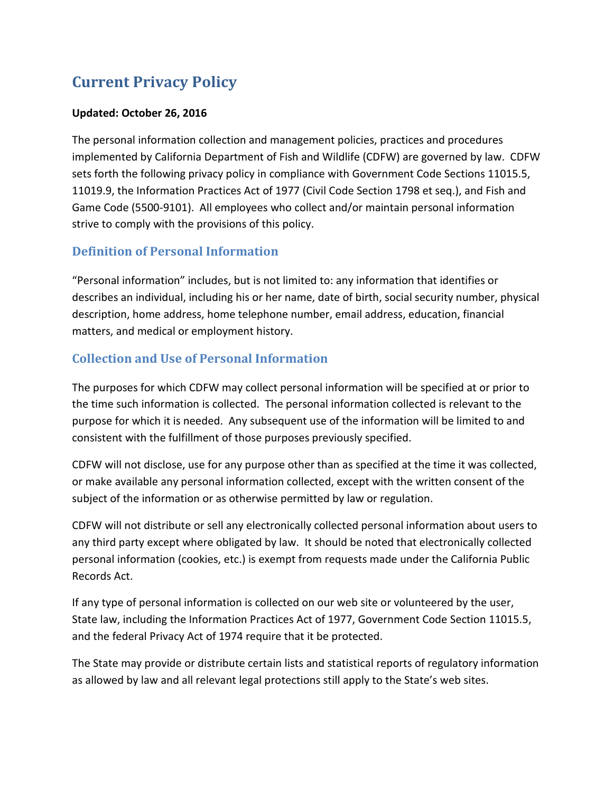# **Current Privacy Policy**

### **Updated: October 26, 2016**

The personal information collection and management policies, practices and procedures implemented by California Department of Fish and Wildlife (CDFW) are governed by law. CDFW sets forth the following privacy policy in compliance with Government Code Sections 11015.5, 11019.9, the Information Practices Act of 1977 (Civil Code Section 1798 et seq.), and Fish and Game Code (5500-9101). All employees who collect and/or maintain personal information strive to comply with the provisions of this policy.

### **Definition of Personal Information**

"Personal information" includes, but is not limited to: any information that identifies or describes an individual, including his or her name, date of birth, social security number, physical description, home address, home telephone number, email address, education, financial matters, and medical or employment history.

## **Collection and Use of Personal Information**

The purposes for which CDFW may collect personal information will be specified at or prior to the time such information is collected. The personal information collected is relevant to the purpose for which it is needed. Any subsequent use of the information will be limited to and consistent with the fulfillment of those purposes previously specified.

CDFW will not disclose, use for any purpose other than as specified at the time it was collected, or make available any personal information collected, except with the written consent of the subject of the information or as otherwise permitted by law or regulation.

CDFW will not distribute or sell any electronically collected personal information about users to any third party except where obligated by law. It should be noted that electronically collected personal information (cookies, etc.) is exempt from requests made under the California Public Records Act.

If any type of personal information is collected on our web site or volunteered by the user, State law, including the Information Practices Act of 1977, Government Code Section 11015.5, and the federal Privacy Act of 1974 require that it be protected.

The State may provide or distribute certain lists and statistical reports of regulatory information as allowed by law and all relevant legal protections still apply to the State's web sites.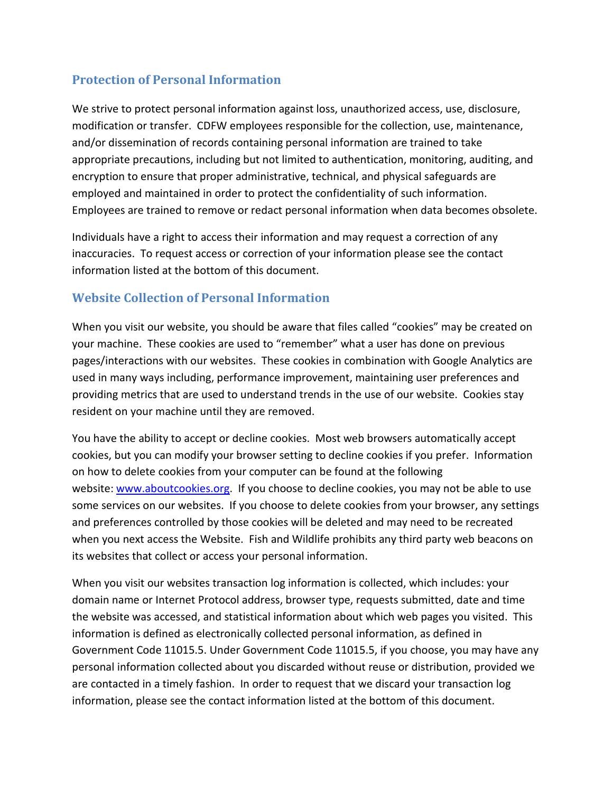### **Protection of Personal Information**

We strive to protect personal information against loss, unauthorized access, use, disclosure, modification or transfer. CDFW employees responsible for the collection, use, maintenance, and/or dissemination of records containing personal information are trained to take appropriate precautions, including but not limited to authentication, monitoring, auditing, and encryption to ensure that proper administrative, technical, and physical safeguards are employed and maintained in order to protect the confidentiality of such information. Employees are trained to remove or redact personal information when data becomes obsolete.

Individuals have a right to access their information and may request a correction of any inaccuracies. To request access or correction of your information please see the contact information listed at the bottom of this document.

### **Website Collection of Personal Information**

When you visit our website, you should be aware that files called "cookies" may be created on your machine. These cookies are used to "remember" what a user has done on previous pages/interactions with our websites. These cookies in combination with Google Analytics are used in many ways including, performance improvement, maintaining user preferences and providing metrics that are used to understand trends in the use of our website. Cookies stay resident on your machine until they are removed.

You have the ability to accept or decline cookies. Most web browsers automatically accept cookies, but you can modify your browser setting to decline cookies if you prefer. Information on how to delete cookies from your computer can be found at the following website: [www.aboutcookies.org.](http://www.aboutcookies.org/) If you choose to decline cookies, you may not be able to use some services on our websites. If you choose to delete cookies from your browser, any settings and preferences controlled by those cookies will be deleted and may need to be recreated when you next access the Website. Fish and Wildlife prohibits any third party web beacons on its websites that collect or access your personal information.

When you visit our websites transaction log information is collected, which includes: your domain name or Internet Protocol address, browser type, requests submitted, date and time the website was accessed, and statistical information about which web pages you visited. This information is defined as electronically collected personal information, as defined in Government Code 11015.5. Under Government Code 11015.5, if you choose, you may have any personal information collected about you discarded without reuse or distribution, provided we are contacted in a timely fashion. In order to request that we discard your transaction log information, please see the contact information listed at the bottom of this document.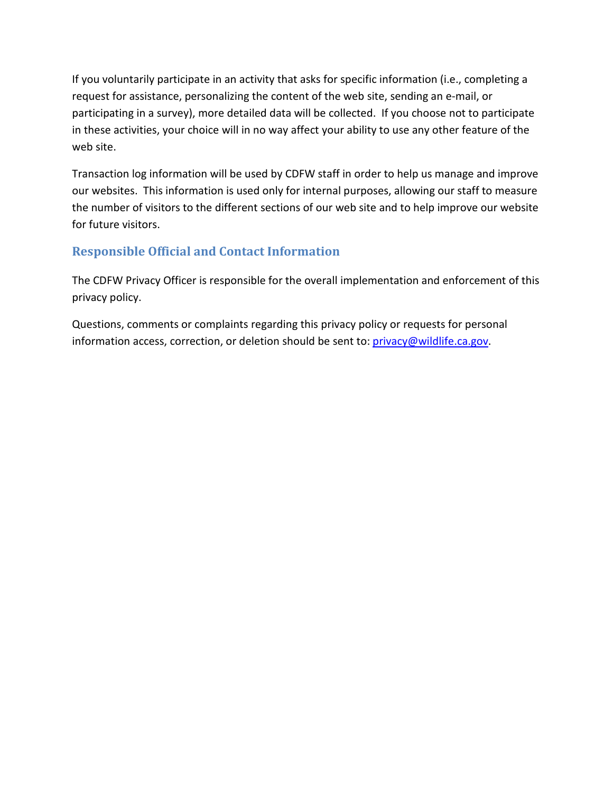If you voluntarily participate in an activity that asks for specific information (i.e., completing a request for assistance, personalizing the content of the web site, sending an e-mail, or participating in a survey), more detailed data will be collected. If you choose not to participate in these activities, your choice will in no way affect your ability to use any other feature of the web site.

Transaction log information will be used by CDFW staff in order to help us manage and improve our websites. This information is used only for internal purposes, allowing our staff to measure the number of visitors to the different sections of our web site and to help improve our website for future visitors.

## **Responsible Official and Contact Information**

The CDFW Privacy Officer is responsible for the overall implementation and enforcement of this privacy policy.

Questions, comments or complaints regarding this privacy policy or requests for personal information access, correction, or deletion should be sent to: [privacy@wildlife.ca.gov.](mailto:privacy@wildlife.ca.gov)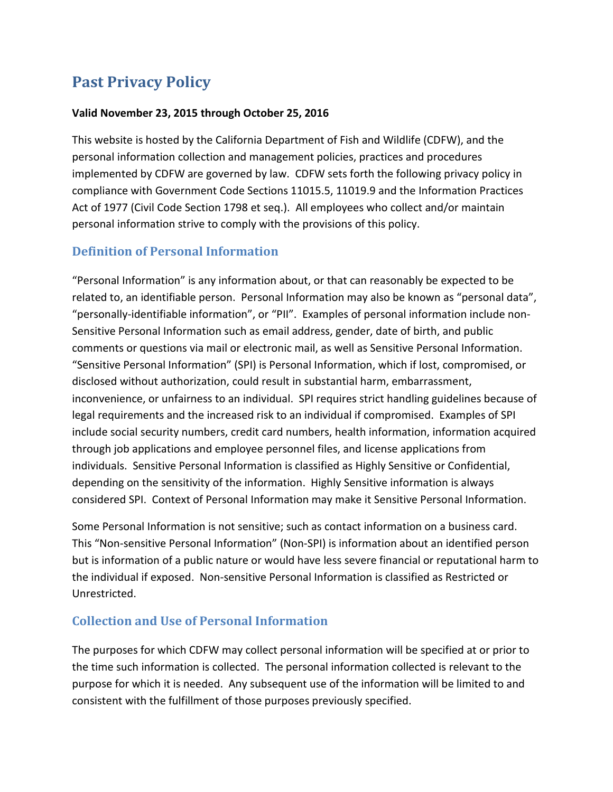## **Past Privacy Policy**

#### **Valid November 23, 2015 through October 25, 2016**

This website is hosted by the California Department of Fish and Wildlife (CDFW), and the personal information collection and management policies, practices and procedures implemented by CDFW are governed by law. CDFW sets forth the following privacy policy in compliance with Government Code Sections 11015.5, 11019.9 and the Information Practices Act of 1977 (Civil Code Section 1798 et seq.). All employees who collect and/or maintain personal information strive to comply with the provisions of this policy.

### **Definition of Personal Information**

"Personal Information" is any information about, or that can reasonably be expected to be related to, an identifiable person. Personal Information may also be known as "personal data", "personally-identifiable information", or "PII". Examples of personal information include non-Sensitive Personal Information such as email address, gender, date of birth, and public comments or questions via mail or electronic mail, as well as Sensitive Personal Information. "Sensitive Personal Information" (SPI) is Personal Information, which if lost, compromised, or disclosed without authorization, could result in substantial harm, embarrassment, inconvenience, or unfairness to an individual. SPI requires strict handling guidelines because of legal requirements and the increased risk to an individual if compromised. Examples of SPI include social security numbers, credit card numbers, health information, information acquired through job applications and employee personnel files, and license applications from individuals. Sensitive Personal Information is classified as Highly Sensitive or Confidential, depending on the sensitivity of the information. Highly Sensitive information is always considered SPI. Context of Personal Information may make it Sensitive Personal Information.

Some Personal Information is not sensitive; such as contact information on a business card. This "Non-sensitive Personal Information" (Non-SPI) is information about an identified person but is information of a public nature or would have less severe financial or reputational harm to the individual if exposed. Non-sensitive Personal Information is classified as Restricted or Unrestricted.

### **Collection and Use of Personal Information**

The purposes for which CDFW may collect personal information will be specified at or prior to the time such information is collected. The personal information collected is relevant to the purpose for which it is needed. Any subsequent use of the information will be limited to and consistent with the fulfillment of those purposes previously specified.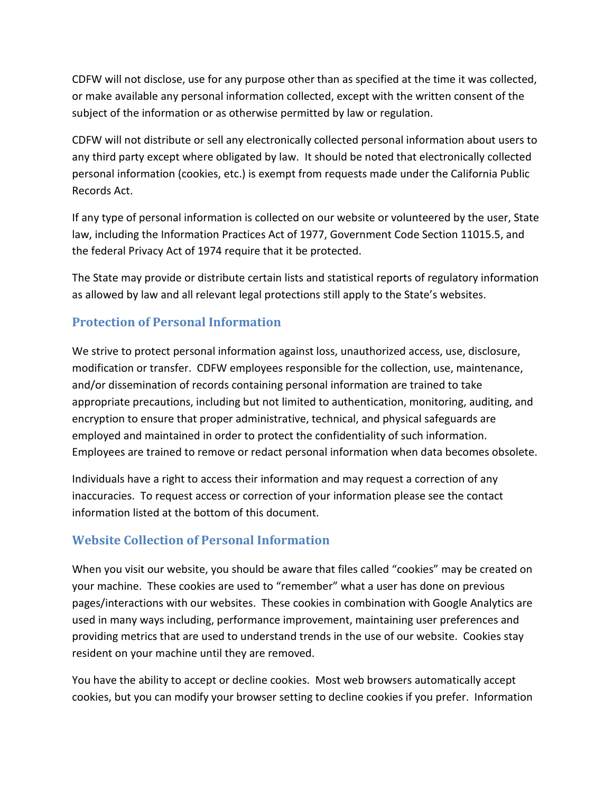CDFW will not disclose, use for any purpose other than as specified at the time it was collected, or make available any personal information collected, except with the written consent of the subject of the information or as otherwise permitted by law or regulation.

CDFW will not distribute or sell any electronically collected personal information about users to any third party except where obligated by law. It should be noted that electronically collected personal information (cookies, etc.) is exempt from requests made under the California Public Records Act.

If any type of personal information is collected on our website or volunteered by the user, State law, including the Information Practices Act of 1977, Government Code Section 11015.5, and the federal Privacy Act of 1974 require that it be protected.

The State may provide or distribute certain lists and statistical reports of regulatory information as allowed by law and all relevant legal protections still apply to the State's websites.

## **Protection of Personal Information**

We strive to protect personal information against loss, unauthorized access, use, disclosure, modification or transfer. CDFW employees responsible for the collection, use, maintenance, and/or dissemination of records containing personal information are trained to take appropriate precautions, including but not limited to authentication, monitoring, auditing, and encryption to ensure that proper administrative, technical, and physical safeguards are employed and maintained in order to protect the confidentiality of such information. Employees are trained to remove or redact personal information when data becomes obsolete.

Individuals have a right to access their information and may request a correction of any inaccuracies. To request access or correction of your information please see the contact information listed at the bottom of this document.

### **Website Collection of Personal Information**

When you visit our website, you should be aware that files called "cookies" may be created on your machine. These cookies are used to "remember" what a user has done on previous pages/interactions with our websites. These cookies in combination with Google Analytics are used in many ways including, performance improvement, maintaining user preferences and providing metrics that are used to understand trends in the use of our website. Cookies stay resident on your machine until they are removed.

You have the ability to accept or decline cookies. Most web browsers automatically accept cookies, but you can modify your browser setting to decline cookies if you prefer. Information